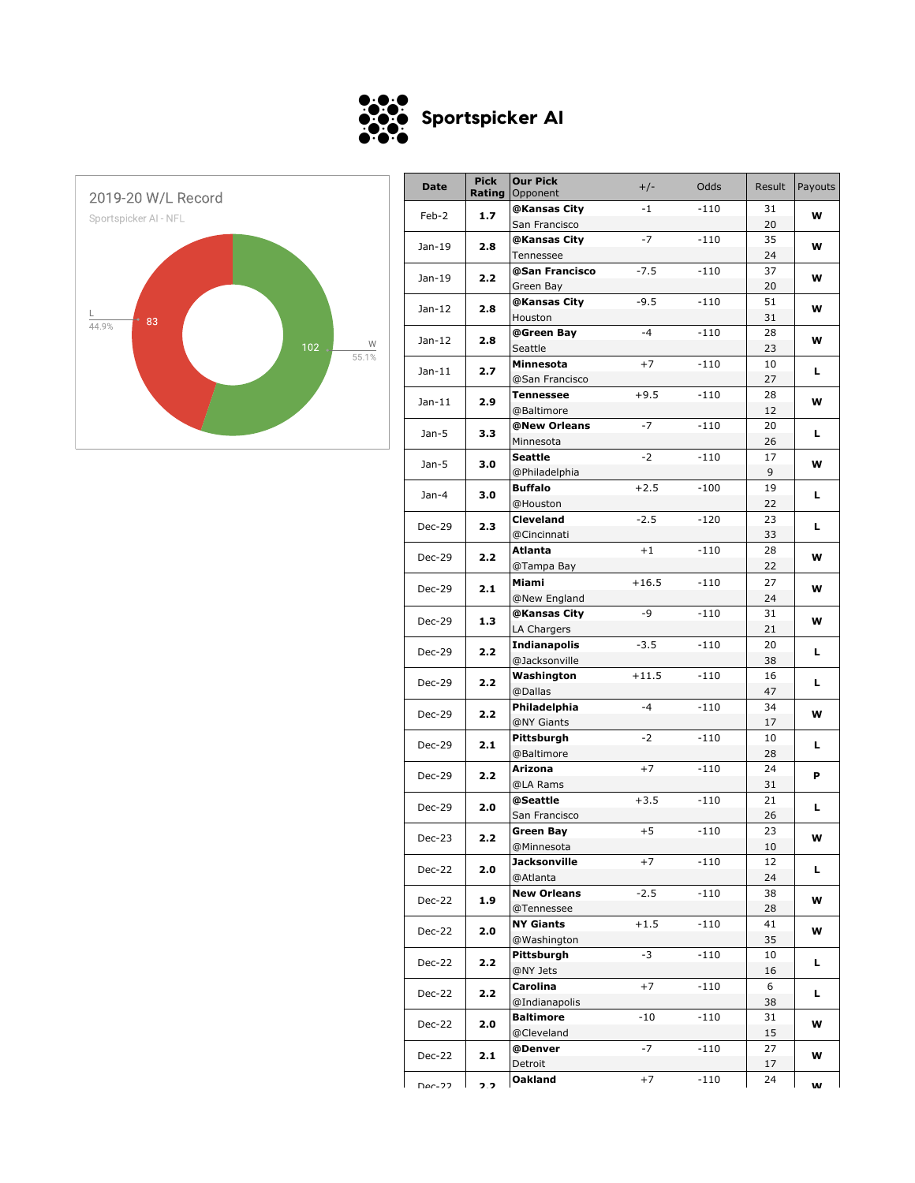



| <b>Date</b>   | <b>Pick</b><br>Rating | <b>Our Pick</b><br>Opponent | $+/-$   | Odds   | Result | Payouts |
|---------------|-----------------------|-----------------------------|---------|--------|--------|---------|
| Feb-2         |                       | @Kansas City                | -1      | $-110$ | 31     |         |
|               | 1.7                   | San Francisco               |         |        | 20     | w       |
|               |                       | @Kansas City                | $-7$    | $-110$ | 35     |         |
| Jan-19        | 2.8                   | Tennessee                   |         |        | 24     | w       |
|               |                       | @San Francisco              | $-7.5$  | $-110$ | 37     |         |
| Jan-19        | 2.2                   | Green Bay                   |         |        | 20     | w       |
|               |                       | @Kansas City                | $-9.5$  | $-110$ | 51     |         |
| Jan-12        | 2.8                   | Houston                     |         |        | 31     | w       |
|               |                       | @Green Bay                  | $-4$    | $-110$ | 28     |         |
| $Jan-12$      | 2.8                   | Seattle                     |         |        |        | w       |
|               |                       |                             |         |        | 23     |         |
| Jan-11        | 2.7                   | Minnesota<br>@San Francisco | $+7$    | $-110$ | 10     | L.      |
|               |                       |                             |         |        | 27     |         |
| Jan-11        | 2.9                   | <b>Tennessee</b>            | $+9.5$  | $-110$ | 28     | w       |
|               |                       | @Baltimore                  |         |        | 12     |         |
| Jan-5         | 3.3                   | @New Orleans                | $-7$    | $-110$ | 20     | L.      |
|               |                       | Minnesota                   |         |        | 26     |         |
| $Jan-5$       | 3.0                   | Seattle                     | $-2$    | $-110$ | 17     | w       |
|               |                       | @Philadelphia               |         |        | 9      |         |
| Jan-4         | 3.0                   | <b>Buffalo</b>              | $+2.5$  | $-100$ | 19     | L.      |
|               |                       | @Houston                    |         |        | 22     |         |
| <b>Dec-29</b> | 2.3                   | Cleveland                   | $-2.5$  | $-120$ | 23     | L       |
|               |                       | @Cincinnati                 |         |        | 33     |         |
| <b>Dec-29</b> | 2.2                   | Atlanta                     | $+1$    | $-110$ | 28     | w       |
|               |                       | @Tampa Bay                  |         |        | 22     |         |
| <b>Dec-29</b> | 2.1                   | Miami                       | $+16.5$ | $-110$ | 27     | w       |
|               |                       | @New England                |         |        | 24     |         |
|               | 1.3                   | @Kansas City                | -9      | $-110$ | 31     | w       |
| <b>Dec-29</b> |                       | LA Chargers                 |         |        | 21     |         |
|               |                       | <b>Indianapolis</b>         | $-3.5$  | $-110$ | 20     |         |
| <b>Dec-29</b> | 2.2                   | @Jacksonville               |         |        | 38     | L.      |
|               |                       | Washington                  | $+11.5$ | $-110$ | 16     |         |
| Dec-29        | 2.2                   | @Dallas                     |         |        | 47     | L.      |
|               |                       | Philadelphia                | $-4$    | $-110$ | 34     |         |
| <b>Dec-29</b> | 2.2                   | @NY Giants                  |         |        | 17     | w       |
|               |                       | Pittsburgh                  | $-2$    | $-110$ | 10     |         |
| <b>Dec-29</b> | 2.1                   | @Baltimore                  |         |        | 28     | L.      |
|               |                       | Arizona                     | $+7$    | $-110$ | 24     |         |
| Dec-29        | 2.2                   | @LA Rams                    |         |        | 31     | P       |
|               |                       | @Seattle                    | $+3.5$  | $-110$ | 21     |         |
| <b>Dec-29</b> | 2.0                   | San Francisco               |         |        | 26     | L.      |
|               |                       | <b>Green Bay</b>            | $+5$    | $-110$ | 23     |         |
| Dec-23        | 2.2                   | @Minnesota                  |         |        | 10     | w       |
|               |                       | Jacksonville                | $+7$    | $-110$ | 12     |         |
| Dec-22        | 2.0                   | @Atlanta                    |         |        | 24     | L.      |
|               |                       | <b>New Orleans</b>          | $-2.5$  | $-110$ | 38     |         |
| Dec-22        | 1.9                   | @Tennessee                  |         |        | 28     | w       |
|               |                       | NY Giants                   | $+1.5$  | -110   | 41     |         |
| Dec-22        | 2.0                   | @Washington                 |         |        | 35     | w       |
|               |                       | Pittsburgh                  | -3      | $-110$ | 10     |         |
| Dec-22        | 2.2                   | @NY Jets                    |         |        |        | L.      |
|               |                       |                             |         |        | 16     |         |
| Dec-22        | 2.2                   | Carolina                    | $+7$    | -110   | 6      | L.      |
|               |                       | @Indianapolis               |         |        | 38     |         |
| <b>Dec-22</b> | 2.0                   | Baltimore                   | $-10$   | $-110$ | 31     | W       |
|               |                       | @Cleveland                  |         |        | 15     |         |
| Dec-22        | 2.1                   | @Denver                     | $-7$    | $-110$ | 27     | W       |
|               |                       | Detroit                     |         |        | 17     |         |
| Dec-22        | 22                    | Oakland                     | $+7$    | -110   | 24     | w       |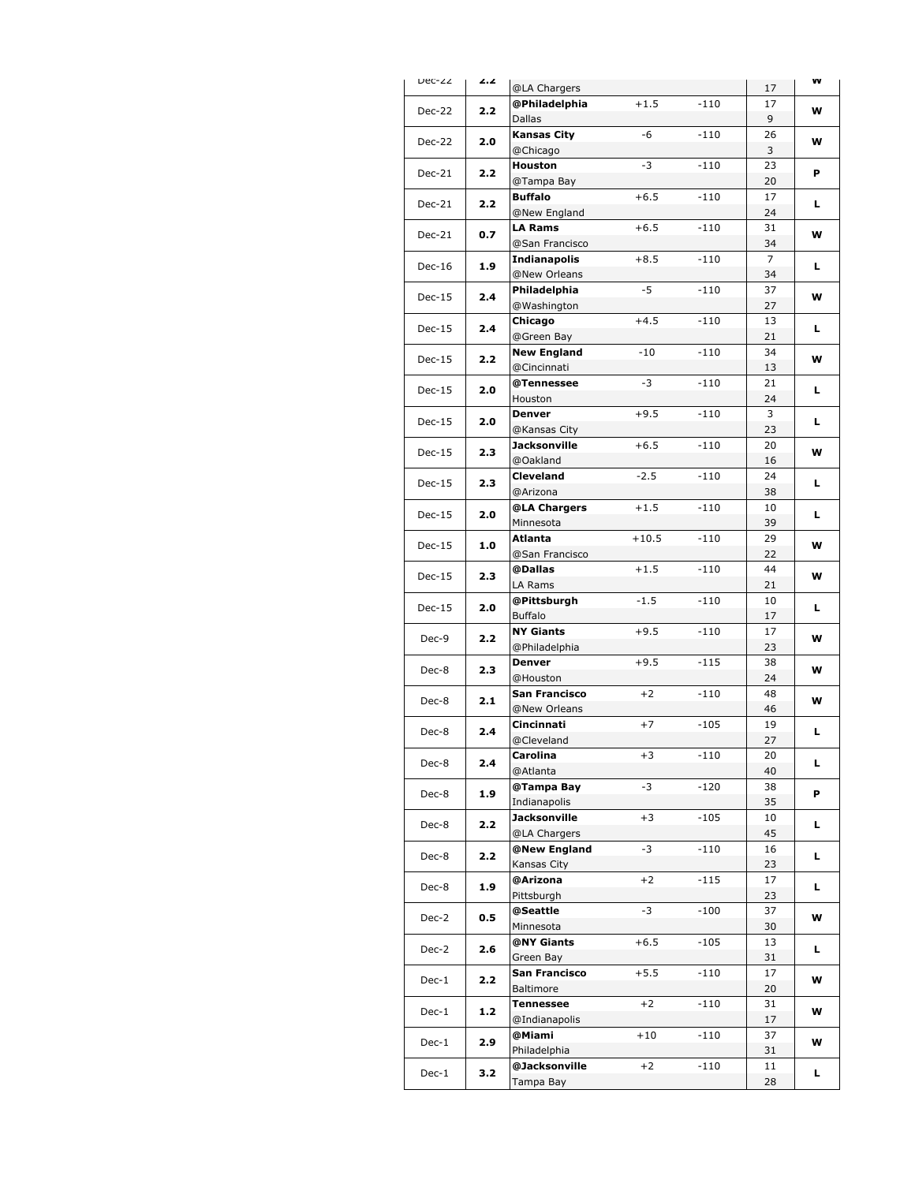| Dec-22   | 2.2 | @LA Chargers                      |         |        | 17       | VV |
|----------|-----|-----------------------------------|---------|--------|----------|----|
| Dec-22   | 2.2 | @Philadelphia                     | $+1.5$  | $-110$ | 17       | w  |
|          |     | Dallas                            |         |        | 9        |    |
| Dec-22   | 2.0 | <b>Kansas City</b>                | -6      | $-110$ | 26       | w  |
|          |     | @Chicago                          | -3      |        | 3        |    |
| $Dec-21$ | 2.2 | Houston<br>@Tampa Bay             |         | $-110$ | 23<br>20 | P  |
|          |     | <b>Buffalo</b>                    | $+6.5$  | $-110$ | 17       |    |
| Dec-21   | 2.2 | @New England                      |         |        | 24       | L. |
|          |     | <b>LA Rams</b>                    | $+6.5$  | $-110$ | 31       |    |
| Dec-21   | 0.7 | @San Francisco                    |         |        | 34       | w  |
| $Dec-16$ | 1.9 | <b>Indianapolis</b>               | $+8.5$  | $-110$ | 7        | г  |
|          |     | @New Orleans                      |         |        | 34       |    |
| $Dec-15$ | 2.4 | Philadelphia                      | $-5$    | $-110$ | 37       | w  |
|          |     | @Washington                       |         |        | 27       |    |
| $Dec-15$ | 2.4 | Chicago                           | $+4.5$  | $-110$ | 13       | L. |
|          |     | @Green Bay                        | $-10$   | $-110$ | 21<br>34 |    |
| $Dec-15$ | 2.2 | <b>New England</b><br>@Cincinnati |         |        | 13       | w  |
|          |     | @Tennessee                        | -3      | $-110$ | 21       |    |
| $Dec-15$ | 2.0 | Houston                           |         |        | 24       | L  |
|          |     | <b>Denver</b>                     | $+9.5$  | $-110$ | 3        |    |
| $Dec-15$ | 2.0 | @Kansas City                      |         |        | 23       | L. |
|          |     | <b>Jacksonville</b>               | $+6.5$  | $-110$ | 20       |    |
| $Dec-15$ | 2.3 | @Oakland                          |         |        | 16       | w  |
|          |     | <b>Cleveland</b>                  | $-2.5$  | $-110$ | 24       | г  |
| $Dec-15$ | 2.3 | @Arizona                          |         |        | 38       |    |
| $Dec-15$ | 2.0 | @LA Chargers                      | $+1.5$  | $-110$ | 10       | L. |
|          |     | Minnesota                         |         |        | 39       |    |
| $Dec-15$ | 1.0 | Atlanta                           | $+10.5$ | $-110$ | 29       | w  |
|          |     | @San Francisco                    |         |        | 22       |    |
| $Dec-15$ | 2.3 | @Dallas                           | $+1.5$  | $-110$ | 44       | w  |
|          | 2.0 | LA Rams                           |         |        | 21       |    |
| $Dec-15$ |     | @Pittsburgh<br><b>Buffalo</b>     | $-1.5$  | $-110$ | 10<br>17 | г  |
|          |     | <b>NY Giants</b>                  | $+9.5$  | $-110$ | 17       |    |
| Dec-9    | 2.2 | @Philadelphia                     |         |        | 23       | w  |
|          |     | <b>Denver</b>                     | $+9.5$  | $-115$ | 38       |    |
| Dec-8    | 2.3 | @Houston                          |         |        | 24       | w  |
| Dec-8    | 2.1 | San Francisco                     | $+2$    | $-110$ | 48       | w  |
|          |     | @New Orleans                      |         |        | 46       |    |
| Dec-8    | 2.4 | Cincinnati                        | $+7$    | $-105$ | 19       | г  |
|          |     | @Cleveland                        |         |        | 27       |    |
| Dec-8    | 2.4 | Carolina                          | $+3$    | $-110$ | 20       | L  |
|          |     | @Atlanta                          |         |        | 40       |    |
| Dec-8    | 1.9 | @Tampa Bay                        | -3      | $-120$ | 38       | P  |
|          |     | Indianapolis                      |         |        | 35       |    |
| Dec-8    | 2.2 | Jacksonville<br>@LA Chargers      | $+3$    | $-105$ | 10<br>45 | L. |
|          |     | @New England                      | -3      | $-110$ | 16       |    |
| Dec-8    | 2.2 | Kansas City                       |         |        | 23       | L. |
|          |     | @Arizona                          | $+2$    | $-115$ | 17       |    |
| Dec-8    | 1.9 | Pittsburgh                        |         |        | 23       | L. |
|          |     | @Seattle                          | -3      | $-100$ | 37       |    |
| Dec-2    | 0.5 | Minnesota                         |         |        | 30       | w  |
| Dec-2    | 2.6 | @NY Giants                        | $+6.5$  | $-105$ | 13       | L. |
|          |     | Green Bay                         |         |        | 31       |    |
| $Dec-1$  | 2.2 | San Francisco                     | $+5.5$  | $-110$ | 17       | w  |
|          |     | Baltimore                         |         |        | 20       |    |
| Dec-1    | 1.2 | Tennessee                         | $+2$    | $-110$ | 31       | w  |
|          |     | @Indianapolis                     |         |        | 17       |    |
| Dec-1    | 2.9 | @Miami                            | $+10$   | $-110$ | 37       | w  |
|          |     | Philadelphia                      |         |        | 31       |    |
| $Dec-1$  | 3.2 | @Jacksonville<br>Tampa Bay        | $+2$    | $-110$ | 11       | L. |
|          |     |                                   |         |        | 28       |    |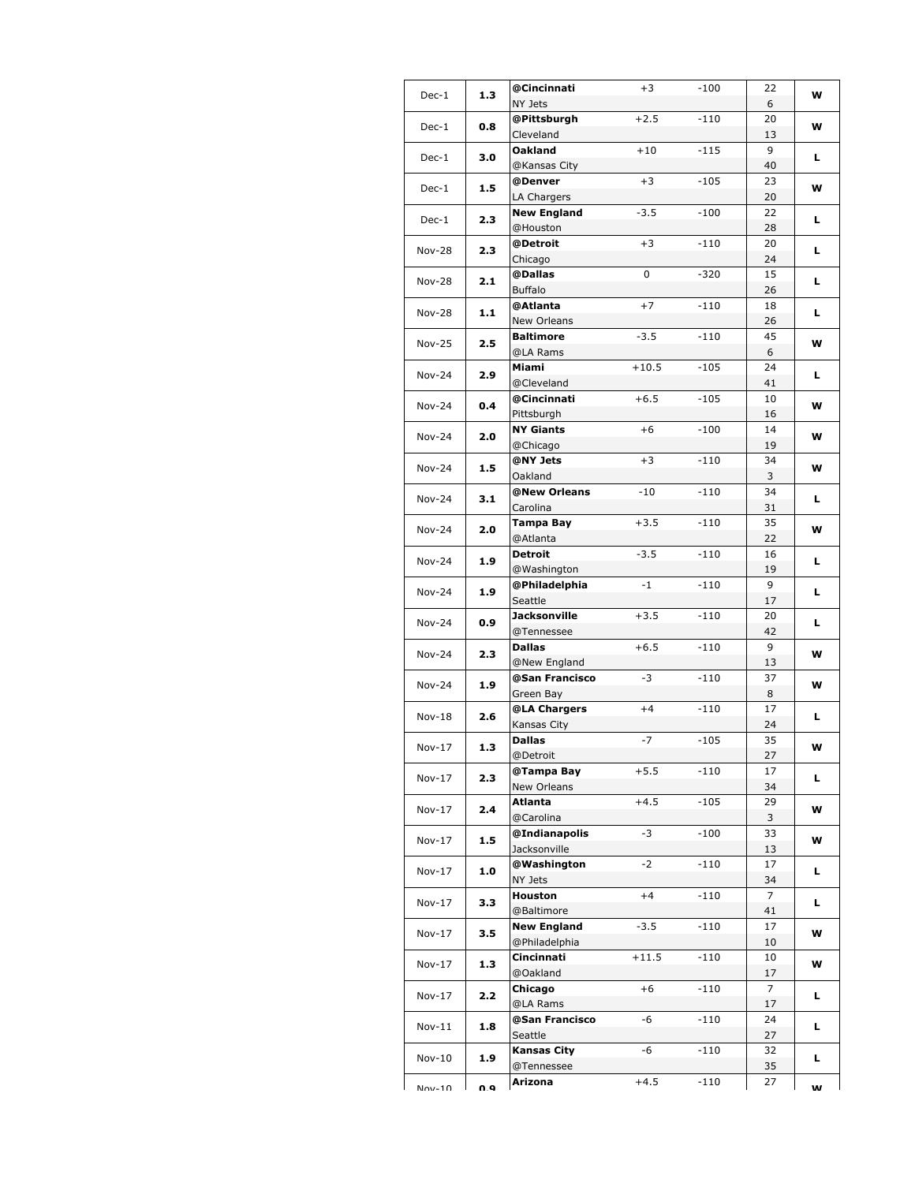| $Dec-1$       | 1.3     | @Cincinnati                | $+3$    | -100   | 22             | w  |    |
|---------------|---------|----------------------------|---------|--------|----------------|----|----|
|               |         | NY Jets<br>@Pittsburgh     | $+2.5$  | $-110$ | 6<br>20        |    |    |
| $Dec-1$       | 0.8     | Cleveland                  |         |        | 13             | w  |    |
|               |         | <b>Oakland</b>             | $+10$   | $-115$ | 9              |    |    |
| Dec-1         | 3.0     | @Kansas City               |         |        | 40             | L. |    |
|               |         | @Denver                    | $+3$    | $-105$ | 23             |    |    |
| $Dec-1$       | 1.5     | LA Chargers                |         |        | 20             | w  |    |
|               |         | <b>New England</b>         | $-3.5$  | $-100$ | 22             |    |    |
| Dec-1         | 2.3     | @Houston                   |         |        | 28             | г  |    |
| <b>Nov-28</b> | 2.3     | @Detroit                   | $+3$    | $-110$ | 20             | L. |    |
|               |         | Chicago                    |         |        | 24             |    |    |
| <b>Nov-28</b> | 2.1     | @Dallas                    | 0       | $-320$ | 15             | L. |    |
|               |         | <b>Buffalo</b>             |         |        | 26             |    |    |
| <b>Nov-28</b> | 1.1     | @Atlanta                   | $+7$    | -110   | 18             | L. |    |
|               |         | <b>New Orleans</b>         |         |        | 26             |    |    |
| <b>Nov-25</b> | 2.5     | <b>Baltimore</b>           | $-3.5$  | $-110$ | 45             | w  |    |
|               |         | @LA Rams                   |         |        | 6              |    |    |
| $Nov-24$      | 2.9     | Miami<br>@Cleveland        | $+10.5$ | $-105$ | 24<br>41       | L. |    |
|               |         | @Cincinnati                | $+6.5$  | $-105$ | 10             |    |    |
| Nov-24        | 0.4     | Pittsburgh                 |         |        | 16             | w  |    |
|               |         | <b>NY Giants</b>           | $+6$    | $-100$ | 14             |    |    |
| Nov-24        | 2.0     | @Chicago                   |         |        | 19             | W  |    |
|               |         | @NY Jets                   | $+3$    | $-110$ | 34             |    |    |
| Nov-24        | 1.5     | Oakland                    |         |        | 3              | w  |    |
| Nov-24        | 3.1     | @New Orleans               | $-10$   | $-110$ | 34             | L. |    |
|               |         | Carolina                   |         |        | 31             |    |    |
| <b>Nov-24</b> | 2.0     | <b>Tampa Bay</b>           | $+3.5$  | $-110$ | 35             | w  |    |
|               |         | @Atlanta                   |         |        | 22             |    |    |
| <b>Nov-24</b> | 1.9     | Detroit                    | $-3.5$  | $-110$ | 16             | г  |    |
|               |         | @Washington                |         |        | 19             |    |    |
| Nov-24        | 1.9     | @Philadelphia              | $-1$    | $-110$ | 9              | L  |    |
|               |         | Seattle                    |         |        | 17             |    |    |
| <b>Nov-24</b> | 0.9     | Jacksonville<br>@Tennessee | $+3.5$  | $-110$ | 20<br>42       | L  |    |
|               |         | <b>Dallas</b>              | $+6.5$  | -110   | 9              |    |    |
| Nov-24        | 2.3     | @New England               |         |        | 13             | w  |    |
|               |         | @San Francisco             | -3      | $-110$ | 37             |    |    |
| Nov-24        | 1.9     | Green Bay                  |         |        | 8              | w  |    |
| $Nov-18$      | 2.6     | @LA Chargers               | $+4$    | $-110$ | 17             | L. |    |
|               |         | Kansas City                |         |        | 24             |    |    |
| $Nov-17$      | 1.3     | <b>Dallas</b>              | $-7$    | $-105$ | 35             | W  |    |
|               |         | @Detroit                   |         |        | 27             |    |    |
| $Nov-17$      | 2.3     | @Tampa Bay                 | $+5.5$  | $-110$ | 17             | L. |    |
|               |         | New Orleans                |         |        | 34             |    |    |
| $Nov-17$      | 2.4     | Atlanta                    | $+4.5$  | $-105$ | 29             | w  |    |
|               |         | @Carolina<br>@Indianapolis | -3      | $-100$ | 3<br>33        |    |    |
| Nov-17        | $1.5\,$ | Jacksonville               |         |        | 13             | w  |    |
|               |         | @Washington                | $-2$    | $-110$ | 17             |    |    |
| Nov-17        | 1.0     |                            | NY Jets |        |                | 34 | L. |
|               |         | Houston                    | $+4$    | $-110$ | 7              |    |    |
| $Nov-17$      | 3.3     | @Baltimore                 |         |        | 41             | L. |    |
| $Nov-17$      | 3.5     | <b>New England</b>         | $-3.5$  | $-110$ | 17             | w  |    |
|               |         | @Philadelphia              |         |        | 10             |    |    |
| Nov-17        | 1.3     | Cincinnati                 | $+11.5$ | -110   | 10             | w  |    |
|               |         | @Oakland                   |         |        | 17             |    |    |
| Nov-17        | 2.2     | Chicago                    | $+6$    | -110   | $\overline{7}$ | L. |    |
|               |         | @LA Rams                   |         |        | 17             |    |    |
| Nov-11        | 1.8     | @San Francisco<br>Seattle  | -6      | -110   | 24<br>27       | L. |    |
|               |         | <b>Kansas City</b>         | -6      | $-110$ | 32             |    |    |
| $Nov-10$      | 1.9     | @Tennessee                 |         |        | 35             | L. |    |
|               |         | Arizona                    | $+4.5$  | -110   | 27             |    |    |
| $Nov-10$      | n a     |                            |         |        |                | w  |    |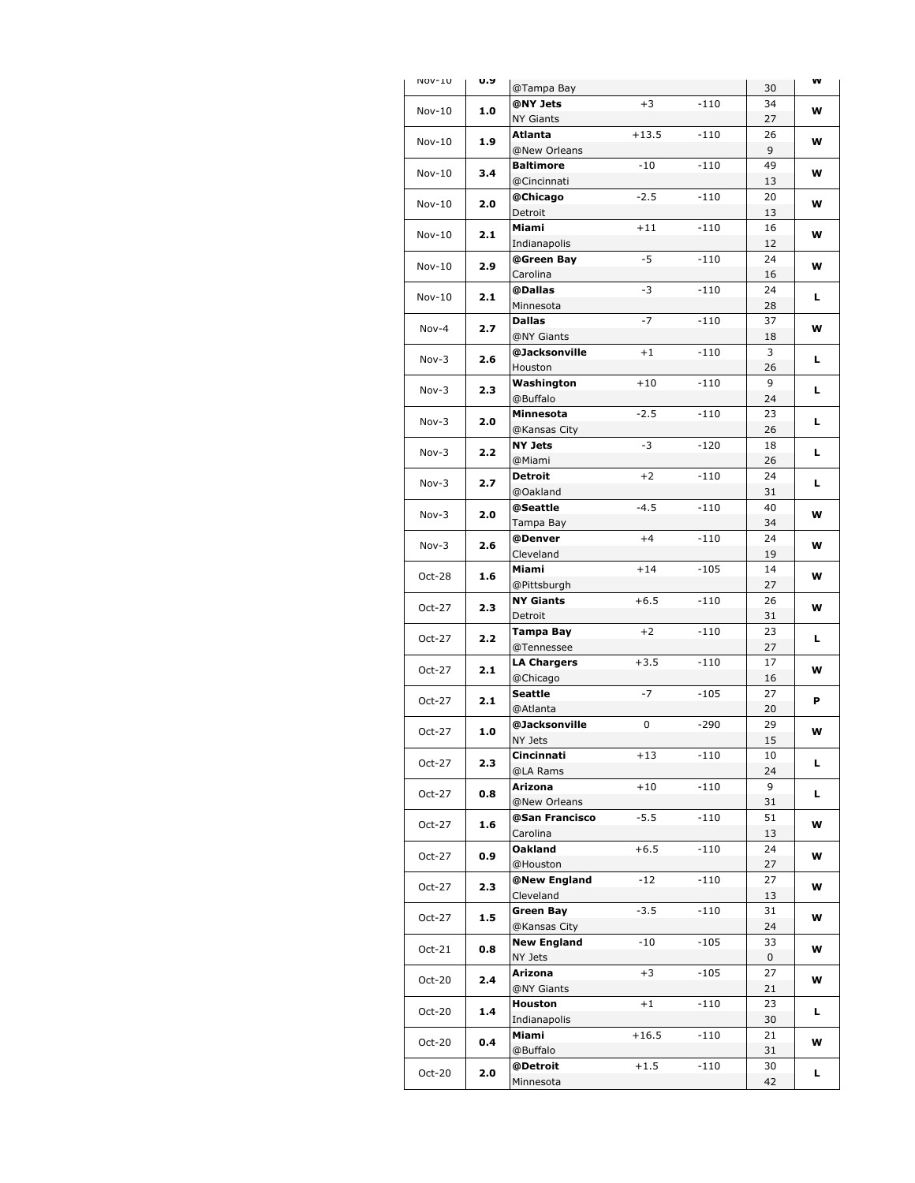| INOV-TO  | U.Y     | @Tampa Bay                       |         |        | 30       | VV |
|----------|---------|----------------------------------|---------|--------|----------|----|
| $Nov-10$ | 1.0     | @NY Jets                         | $+3$    | $-110$ | 34       | w  |
|          |         | NY Giants                        |         |        | 27       |    |
| $Nov-10$ | 1.9     | Atlanta                          | $+13.5$ | $-110$ | 26       | w  |
|          |         | @New Orleans                     |         |        | 9        |    |
| $Nov-10$ | 3.4     | <b>Baltimore</b><br>@Cincinnati  | $-10$   | $-110$ | 49<br>13 | w  |
|          |         | @Chicago                         | $-2.5$  | $-110$ | 20       |    |
| $Nov-10$ | 2.0     | Detroit                          |         |        | 13       | w  |
|          |         | Miami                            | $+11$   | $-110$ | 16       |    |
| $Nov-10$ | 2.1     | Indianapolis                     |         |        | 12       | w  |
| $Nov-10$ | 2.9     | @Green Bay                       | $-5$    | $-110$ | 24       | w  |
|          |         | Carolina                         |         |        | 16       |    |
| $Nov-10$ | 2.1     | @Dallas                          | -3      | -110   | 24       | L  |
|          |         | Minnesota                        |         |        | 28       |    |
| Nov-4    | 2.7     | <b>Dallas</b>                    | $-7$    | $-110$ | 37       | w  |
|          |         | @NY Giants<br>@Jacksonville      | $+1$    | $-110$ | 18<br>3  |    |
| Nov-3    | 2.6     | Houston                          |         |        | 26       | L  |
|          |         | Washington                       | $+10$   | $-110$ | 9        |    |
| Nov-3    | 2.3     | @Buffalo                         |         |        | 24       | L  |
| Nov-3    | 2.0     | Minnesota                        | $-2.5$  | $-110$ | 23       | г  |
|          |         | @Kansas City                     |         |        | 26       |    |
| Nov-3    | 2.2     | <b>NY Jets</b>                   | -3      | $-120$ | 18       | г  |
|          |         | @Miami                           |         |        | 26       |    |
| Nov-3    | 2.7     | Detroit                          | $+2$    | $-110$ | 24       | г  |
|          |         | @Oakland<br>@Seattle             | $-4.5$  | -110   | 31<br>40 |    |
| Nov-3    | 2.0     | Tampa Bay                        |         |        | 34       | w  |
|          |         | @Denver                          | $+4$    | $-110$ | 24       |    |
| $Nov-3$  | 2.6     | Cleveland                        |         |        | 19       | w  |
| $Oct-28$ | 1.6     | Miami                            | $+14$   | $-105$ | 14       | w  |
|          |         | @Pittsburgh                      |         |        | 27       |    |
| Oct-27   | 2.3     | NY Giants                        | $+6.5$  | $-110$ | 26       | w  |
|          |         | Detroit                          |         |        | 31       |    |
| Oct-27   | 2.2     | Tampa Bay                        | $+2$    | $-110$ | 23       | г  |
|          |         | @Tennessee<br><b>LA Chargers</b> | $+3.5$  | $-110$ | 27<br>17 |    |
| Oct-27   | 2.1     | @Chicago                         |         |        | 16       | w  |
|          |         | Seattle                          | $-7$    | $-105$ | 27       |    |
| Oct-27   | 2.1     | @Atlanta                         |         |        | 20       | P  |
| $Oct-27$ | 1.0     | @Jacksonville                    | 0       | $-290$ | 29       | w  |
|          |         | NY Jets                          |         |        | 15       |    |
| Oct-27   | 2.3     | Cincinnati                       | $+13$   | $-110$ | 10       | L  |
|          |         | @LA Rams                         |         |        | 24       |    |
| Oct-27   | 0.8     | Arizona<br>@New Orleans          | $+10$   | $-110$ | 9<br>31  | L. |
|          |         | @San Francisco                   | $-5.5$  | $-110$ | 51       |    |
| Oct-27   | 1.6     | Carolina                         |         |        | 13       | w  |
|          |         | Oakland                          | $+6.5$  | $-110$ | 24       |    |
| Oct-27   | 0.9     | @Houston                         |         |        | 27       | W  |
| Oct-27   | 2.3     | @New England                     | $-12$   | $-110$ | 27       | w  |
|          |         | Cleveland                        |         |        | 13       |    |
| Oct-27   | $1.5\,$ | Green Bay                        | $-3.5$  | -110   | 31       | W  |
|          |         | @Kansas City                     |         |        | 24       |    |
| Oct-21   | 0.8     | <b>New England</b><br>NY Jets    | -10     | -105   | 33<br>0  | w  |
|          |         | Arizona                          | $+3$    | $-105$ | 27       |    |
| Oct-20   | 2.4     | @NY Giants                       |         |        | 21       | w  |
|          |         | Houston                          | $+1$    | $-110$ | 23       |    |
| Oct-20   | 1.4     | Indianapolis                     |         |        | 30       | L. |
| Oct-20   | 0.4     | Miami                            | $+16.5$ | $-110$ | 21       | w  |
|          |         | @Buffalo                         |         |        | 31       |    |
| Oct-20   | 2.0     | @Detroit                         | $+1.5$  | $-110$ | 30       | L. |
|          |         | Minnesota                        |         |        | 42       |    |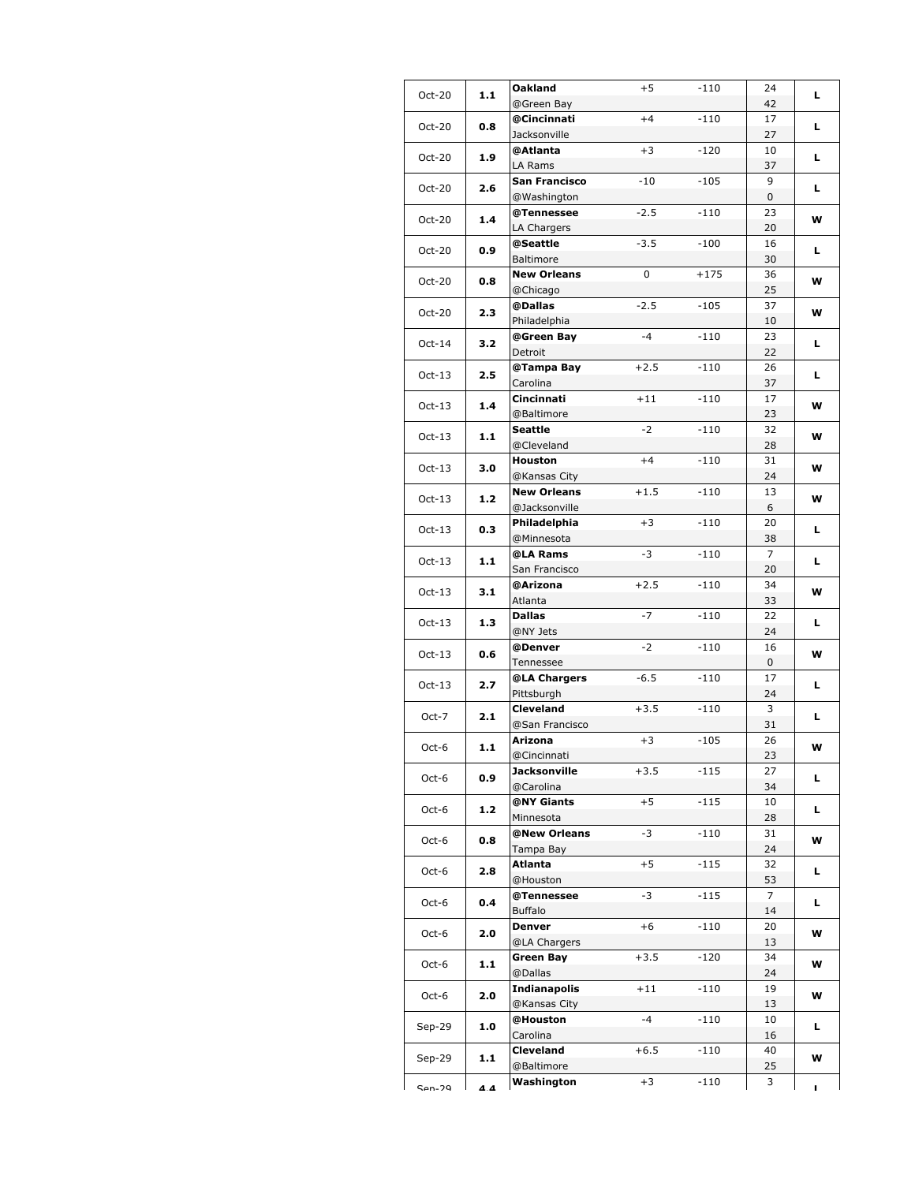| Oct-20   | 1.1   | Oakland                     | $+5$   | $-110$ | 24             | L. |
|----------|-------|-----------------------------|--------|--------|----------------|----|
|          |       | @Green Bay                  |        |        | 42             |    |
| Oct-20   | 0.8   | @Cincinnati                 | $+4$   | $-110$ | 17             | L. |
|          |       | Jacksonville                |        |        | 27             |    |
| Oct-20   | 1.9   | @Atlanta                    | $+3$   | $-120$ | 10             | г  |
|          |       | LA Rams                     |        |        | 37             |    |
| Oct-20   | 2.6   | San Francisco               | $-10$  | $-105$ | 9              | L. |
|          |       | @Washington                 |        |        | 0              |    |
| Oct-20   | 1.4   | @Tennessee                  | $-2.5$ | $-110$ | 23             | w  |
|          |       | LA Chargers                 |        |        | 20             |    |
| Oct-20   | 0.9   | @Seattle<br>Baltimore       | $-3.5$ | $-100$ | 16             | L. |
|          |       | <b>New Orleans</b>          | 0      |        | 30<br>36       |    |
| Oct-20   | 0.8   | @Chicago                    |        | $+175$ | 25             | W  |
|          |       | @Dallas                     | $-2.5$ | $-105$ | 37             |    |
| Oct-20   | 2.3   | Philadelphia                |        |        | 10             | w  |
|          |       | @Green Bay                  | $-4$   | $-110$ | 23             |    |
| $Oct-14$ | 3.2   | Detroit                     |        |        | 22             | L. |
|          |       | @Tampa Bay                  | $+2.5$ | -110   | 26             |    |
| $Oct-13$ | 2.5   | Carolina                    |        |        | 37             | L. |
|          |       | Cincinnati                  | $+11$  | $-110$ | 17             |    |
| $Oct-13$ | 1.4   | @Baltimore                  |        |        | 23             | w  |
|          |       | Seattle                     | $-2$   | $-110$ | 32             |    |
| $Oct-13$ | 1.1   | @Cleveland                  |        |        | 28             | W  |
|          |       | Houston                     | $+4$   | $-110$ | 31             |    |
| $Oct-13$ | 3.0   | @Kansas City                |        |        | 24             | w  |
|          | $1.2$ | <b>New Orleans</b>          | $+1.5$ | $-110$ | 13             | W  |
| $Oct-13$ |       | @Jacksonville               |        |        | 6              |    |
| $Oct-13$ | 0.3   | Philadelphia                | $+3$   | $-110$ | 20             | L. |
|          |       | @Minnesota                  |        |        | 38             |    |
| $Oct-13$ | 1.1   | @LA Rams                    | -3     | $-110$ | $\overline{7}$ | L. |
|          |       | San Francisco               |        |        | 20             |    |
| $Oct-13$ | 3.1   | @Arizona                    | $+2.5$ | $-110$ | 34             | w  |
|          |       | Atlanta                     |        |        | 33             |    |
| $Oct-13$ | 1.3   | Dallas                      | $-7$   | $-110$ | 22             | L. |
|          |       | @NY Jets                    |        |        | 24             |    |
| $Oct-13$ | 0.6   | @Denver                     | $-2$   | $-110$ | 16             | W  |
|          |       | Tennessee                   |        |        | 0              |    |
| $Oct-13$ | 2.7   | @LA Chargers                | $-6.5$ | $-110$ | 17             | L. |
|          |       | Pittsburgh                  |        |        | 24             |    |
| Oct-7    | 2.1   | <b>Cleveland</b>            | $+3.5$ | $-110$ | 3              | L. |
|          |       | @San Francisco              |        |        | 31             |    |
| Oct-6    | 1.1   | Arizona                     | $+3$   | $-105$ | 26             | W  |
|          |       | @Cincinnati<br>Jacksonville | $+3.5$ |        | 23             |    |
| Oct-6    | 0.9   | @Carolina                   |        | $-115$ | 27<br>34       | L. |
|          |       | @NY Giants                  | $+5$   | $-115$ | 10             |    |
| Oct-6    | 1.2   | Minnesota                   |        |        | 28             | L. |
|          |       | @New Orleans                | -3     | -110   | 31             |    |
| Oct-6    | 0.8   | Tampa Bay                   |        |        | 24             | W  |
|          |       | Atlanta                     | $+5$   | $-115$ | 32             |    |
| Oct-6    | 2.8   | @Houston                    |        |        | 53             | L. |
|          |       | @Tennessee                  | -3     | $-115$ | 7              |    |
| Oct-6    | 0.4   | <b>Buffalo</b>              |        |        | 14             | L. |
|          |       | Denver                      | $+6$   | $-110$ | 20             |    |
| Oct-6    | 2.0   | @LA Chargers                |        |        | 13             | w  |
|          |       | Green Bay                   | $+3.5$ | $-120$ | 34             |    |
| Oct-6    | 1.1   | @Dallas                     |        |        | 24             | w  |
|          |       | Indianapolis                | $+11$  | $-110$ | 19             |    |
| Oct-6    | 2.0   | @Kansas City                |        |        | 13             | w  |
|          |       | @Houston                    | $-4$   | -110   | 10             |    |
| $Sep-29$ | 1.0   | Carolina                    |        |        | 16             | L. |
|          | 1.1   | Cleveland                   | $+6.5$ | -110   | 40             | w  |
| Sep-29   |       | @Baltimore                  |        |        | 25             |    |
| $Can-20$ | 4 A   | Washington                  | $+3$   | -110   | 3              | ı. |
|          |       |                             |        |        |                |    |